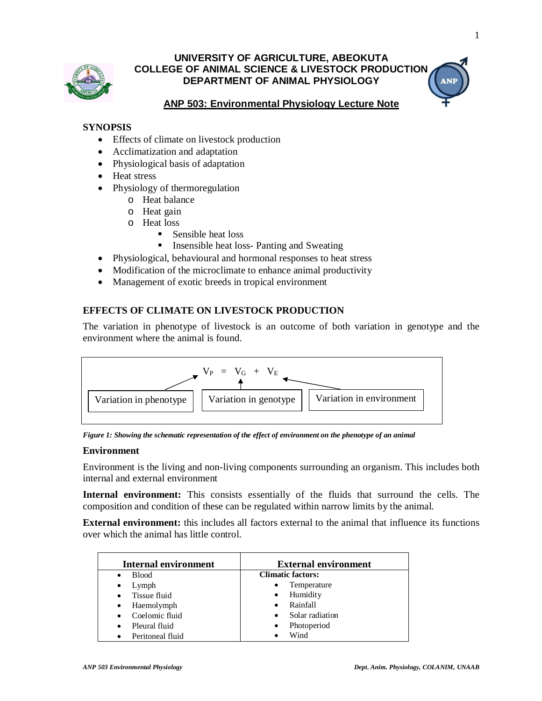

# **UNIVERSITY OF AGRICULTURE, ABEOKUTA COLLEGE OF ANIMAL SCIENCE & LIVESTOCK PRODUCTION DEPARTMENT OF ANIMAL PHYSIOLOGY**

# **ANP 503: Environmental Physiology Lecture Note**

### **SYNOPSIS**

- Effects of climate on livestock production
- Acclimatization and adaptation
- Physiological basis of adaptation
- Heat stress
- Physiology of thermoregulation
	- o Heat balance
	- o Heat gain
	- o Heat loss
		- Sensible heat loss
		- **IDED** Insensible heat loss- Panting and Sweating
- Physiological, behavioural and hormonal responses to heat stress
- Modification of the microclimate to enhance animal productivity
- Management of exotic breeds in tropical environment

## **EFFECTS OF CLIMATE ON LIVESTOCK PRODUCTION**

The variation in phenotype of livestock is an outcome of both variation in genotype and the environment where the animal is found.



*Figure 1: Showing the schematic representation of the effect of environment on the phenotype of an animal*

#### **Environment**

Environment is the living and non-living components surrounding an organism. This includes both internal and external environment

**Internal environment:** This consists essentially of the fluids that surround the cells. The composition and condition of these can be regulated within narrow limits by the animal.

**External environment:** this includes all factors external to the animal that influence its functions over which the animal has little control.

| Internal environment          | <b>External environment</b> |
|-------------------------------|-----------------------------|
| <b>Blood</b><br>$\bullet$     | <b>Climatic factors:</b>    |
| Lymph<br>$\bullet$            | Temperature<br>٠            |
| Tissue fluid                  | Humidity<br>٠               |
| Haemolymph<br>$\bullet$       | Rainfall                    |
| Coelomic fluid                | Solar radiation<br>٠        |
| Pleural fluid<br>$\bullet$    | Photoperiod<br>٠            |
| Peritoneal fluid<br>$\bullet$ | Wind                        |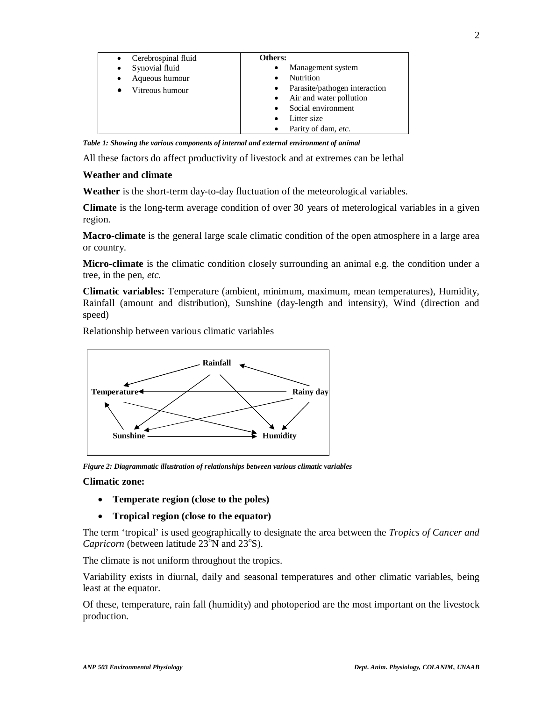| Cerebrospinal fluid | Others:                                    |
|---------------------|--------------------------------------------|
| Synovial fluid<br>٠ | Management system<br>٠                     |
| Aqueous humour<br>٠ | <b>Nutrition</b><br>$\bullet$              |
| Vitreous humour     | Parasite/pathogen interaction<br>$\bullet$ |
|                     | Air and water pollution<br>$\bullet$       |
|                     | Social environment<br>$\bullet$            |
|                     | Litter size<br>$\bullet$                   |
|                     | Parity of dam, etc.<br>$\bullet$           |

*Table 1: Showing the various components of internal and external environment of animal* 

All these factors do affect productivity of livestock and at extremes can be lethal

### **Weather and climate**

**Weather** is the short-term day-to-day fluctuation of the meteorological variables.

**Climate** is the long-term average condition of over 30 years of meterological variables in a given region.

**Macro-climate** is the general large scale climatic condition of the open atmosphere in a large area or country.

**Micro-climate** is the climatic condition closely surrounding an animal e.g. the condition under a tree, in the pen, *etc.*

**Climatic variables:** Temperature (ambient, minimum, maximum, mean temperatures), Humidity, Rainfall (amount and distribution), Sunshine (day-length and intensity), Wind (direction and speed)

Relationship between various climatic variables



*Figure 2: Diagrammatic illustration of relationships between various climatic variables*

#### **Climatic zone:**

- **Temperate region (close to the poles)**
- **Tropical region (close to the equator)**

The term 'tropical' is used geographically to designate the area between the *Tropics of Cancer and*  Capricorn (between latitude 23°N and 23°S).

The climate is not uniform throughout the tropics.

Variability exists in diurnal, daily and seasonal temperatures and other climatic variables, being least at the equator.

Of these, temperature, rain fall (humidity) and photoperiod are the most important on the livestock production.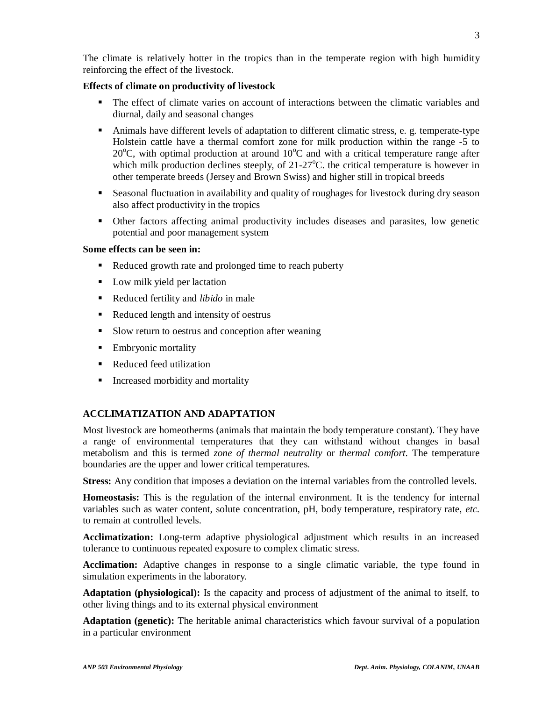The climate is relatively hotter in the tropics than in the temperate region with high humidity reinforcing the effect of the livestock.

### **Effects of climate on productivity of livestock**

- The effect of climate varies on account of interactions between the climatic variables and diurnal, daily and seasonal changes
- Animals have different levels of adaptation to different climatic stress, e. g. temperate-type Holstein cattle have a thermal comfort zone for milk production within the range -5 to  $20^{\circ}$ C, with optimal production at around  $10^{\circ}$ C and with a critical temperature range after which milk production declines steeply, of  $21-27^{\circ}$ C. the critical temperature is however in other temperate breeds (Jersey and Brown Swiss) and higher still in tropical breeds
- Seasonal fluctuation in availability and quality of roughages for livestock during dry season also affect productivity in the tropics
- Other factors affecting animal productivity includes diseases and parasites, low genetic potential and poor management system

### **Some effects can be seen in:**

- Reduced growth rate and prolonged time to reach puberty
- Low milk yield per lactation
- Reduced fertility and *libido* in male
- Reduced length and intensity of oestrus
- Slow return to oestrus and conception after weaning
- Embryonic mortality
- Reduced feed utilization
- Increased morbidity and mortality

# **ACCLIMATIZATION AND ADAPTATION**

Most livestock are homeotherms (animals that maintain the body temperature constant). They have a range of environmental temperatures that they can withstand without changes in basal metabolism and this is termed *zone of thermal neutrality* or *thermal comfort*. The temperature boundaries are the upper and lower critical temperatures.

**Stress:** Any condition that imposes a deviation on the internal variables from the controlled levels.

**Homeostasis:** This is the regulation of the internal environment. It is the tendency for internal variables such as water content, solute concentration, pH, body temperature, respiratory rate, *etc.*  to remain at controlled levels.

**Acclimatization:** Long-term adaptive physiological adjustment which results in an increased tolerance to continuous repeated exposure to complex climatic stress.

**Acclimation:** Adaptive changes in response to a single climatic variable, the type found in simulation experiments in the laboratory.

**Adaptation (physiological):** Is the capacity and process of adjustment of the animal to itself, to other living things and to its external physical environment

**Adaptation (genetic):** The heritable animal characteristics which favour survival of a population in a particular environment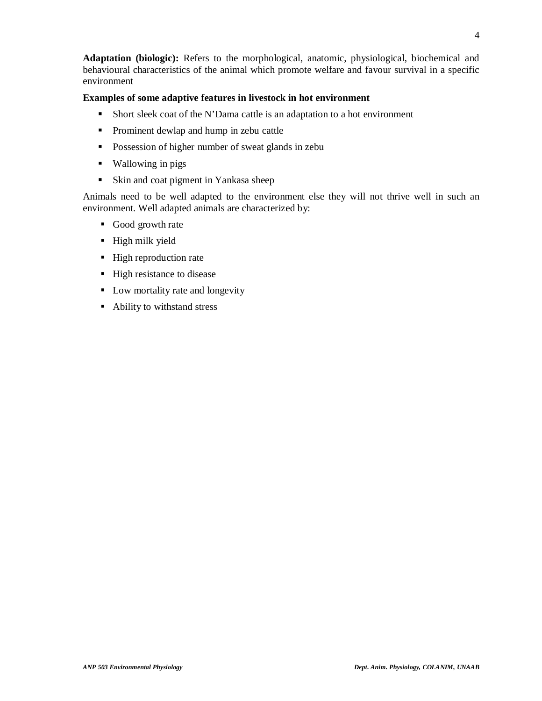**Adaptation (biologic):** Refers to the morphological, anatomic, physiological, biochemical and behavioural characteristics of the animal which promote welfare and favour survival in a specific environment

### **Examples of some adaptive features in livestock in hot environment**

- Short sleek coat of the N'Dama cattle is an adaptation to a hot environment
- **•** Prominent dewlap and hump in zebu cattle
- **Possession of higher number of sweat glands in zebu**
- Wallowing in pigs
- Skin and coat pigment in Yankasa sheep

Animals need to be well adapted to the environment else they will not thrive well in such an environment. Well adapted animals are characterized by:

- Good growth rate
- $\blacksquare$  High milk yield
- High reproduction rate
- High resistance to disease
- Low mortality rate and longevity
- Ability to withstand stress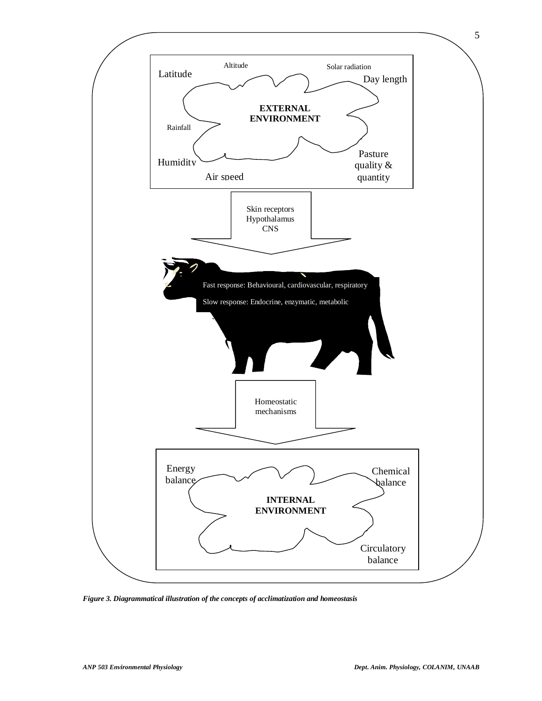

*Figure 3. Diagrammatical illustration of the concepts of acclimatization and homeostasis*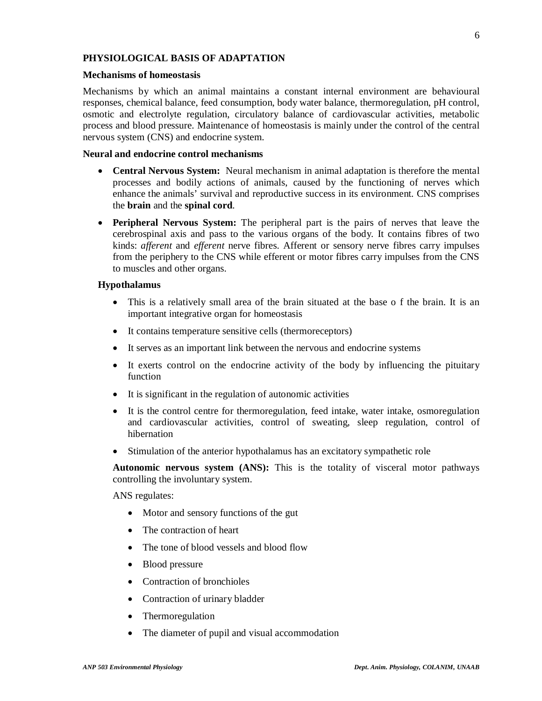### **PHYSIOLOGICAL BASIS OF ADAPTATION**

#### **Mechanisms of homeostasis**

Mechanisms by which an animal maintains a constant internal environment are behavioural responses, chemical balance, feed consumption, body water balance, thermoregulation, pH control, osmotic and electrolyte regulation, circulatory balance of cardiovascular activities, metabolic process and blood pressure. Maintenance of homeostasis is mainly under the control of the central nervous system (CNS) and endocrine system.

#### **Neural and endocrine control mechanisms**

- **Central Nervous System:** Neural mechanism in animal adaptation is therefore the mental processes and bodily actions of animals, caused by the functioning of nerves which enhance the animals' survival and reproductive success in its environment. CNS comprises the **brain** and the **spinal cord**.
- **Peripheral Nervous System:** The peripheral part is the pairs of nerves that leave the cerebrospinal axis and pass to the various organs of the body. It contains fibres of two kinds: *afferent* and *efferent* nerve fibres. Afferent or sensory nerve fibres carry impulses from the periphery to the CNS while efferent or motor fibres carry impulses from the CNS to muscles and other organs.

#### **Hypothalamus**

- This is a relatively small area of the brain situated at the base o f the brain. It is an important integrative organ for homeostasis
- It contains temperature sensitive cells (thermoreceptors)
- It serves as an important link between the nervous and endocrine systems
- It exerts control on the endocrine activity of the body by influencing the pituitary function
- It is significant in the regulation of autonomic activities
- It is the control centre for thermoregulation, feed intake, water intake, osmoregulation and cardiovascular activities, control of sweating, sleep regulation, control of hibernation
- Stimulation of the anterior hypothalamus has an excitatory sympathetic role

**Autonomic nervous system (ANS):** This is the totality of visceral motor pathways controlling the involuntary system.

ANS regulates:

- Motor and sensory functions of the gut
- The contraction of heart
- The tone of blood vessels and blood flow
- Blood pressure
- Contraction of bronchioles
- Contraction of urinary bladder
- Thermoregulation
- The diameter of pupil and visual accommodation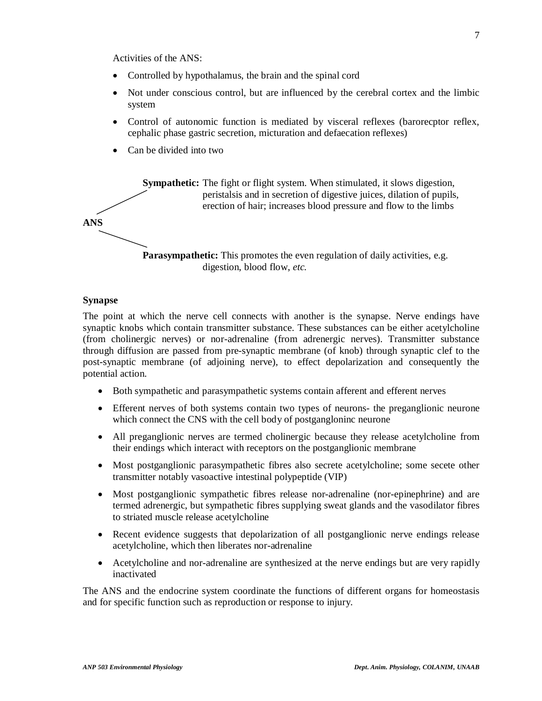Activities of the ANS:

- Controlled by hypothalamus, the brain and the spinal cord
- Not under conscious control, but are influenced by the cerebral cortex and the limbic system
- Control of autonomic function is mediated by visceral reflexes (barorecptor reflex, cephalic phase gastric secretion, micturation and defaecation reflexes)
- Can be divided into two

**Sympathetic:** The fight or flight system. When stimulated, it slows digestion, peristalsis and in secretion of digestive juices, dilation of pupils, erection of hair; increases blood pressure and flow to the limbs **ANS Parasympathetic:** This promotes the even regulation of daily activities, e.g. digestion, blood flow, *etc.*

#### **Synapse**

The point at which the nerve cell connects with another is the synapse. Nerve endings have synaptic knobs which contain transmitter substance. These substances can be either acetylcholine (from cholinergic nerves) or nor-adrenaline (from adrenergic nerves). Transmitter substance through diffusion are passed from pre-synaptic membrane (of knob) through synaptic clef to the post-synaptic membrane (of adjoining nerve), to effect depolarization and consequently the potential action.

- Both sympathetic and parasympathetic systems contain afferent and efferent nerves
- Efferent nerves of both systems contain two types of neurons- the preganglionic neurone which connect the CNS with the cell body of postgangloninc neurone
- All preganglionic nerves are termed cholinergic because they release acetylcholine from their endings which interact with receptors on the postganglionic membrane
- Most postganglionic parasympathetic fibres also secrete acetylcholine; some secete other transmitter notably vasoactive intestinal polypeptide (VIP)
- Most postganglionic sympathetic fibres release nor-adrenaline (nor-epinephrine) and are termed adrenergic, but sympathetic fibres supplying sweat glands and the vasodilator fibres to striated muscle release acetylcholine
- Recent evidence suggests that depolarization of all postganglionic nerve endings release acetylcholine, which then liberates nor-adrenaline
- Acetylcholine and nor-adrenaline are synthesized at the nerve endings but are very rapidly inactivated

The ANS and the endocrine system coordinate the functions of different organs for homeostasis and for specific function such as reproduction or response to injury.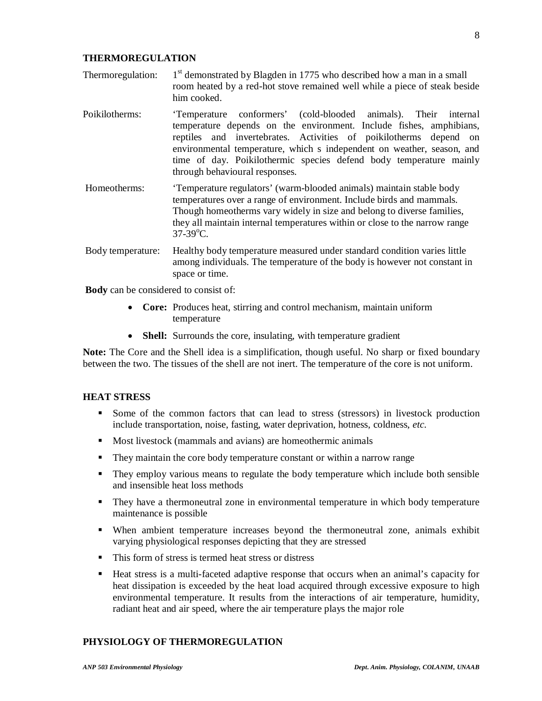## him cooked.

Thermoregulation: 1

**THERMOREGULATION**

Poikilotherms: 'Temperature conformers' (cold-blooded animals). Their internal temperature depends on the environment. Include fishes, amphibians, reptiles and invertebrates. Activities of poikilotherms depend on environmental temperature, which s independent on weather, season, and time of day. Poikilothermic species defend body temperature mainly through behavioural responses.

 $1<sup>st</sup>$  demonstrated by Blagden in 1775 who described how a man in a small room heated by a red-hot stove remained well while a piece of steak beside

- Homeotherms: 'Temperature regulators' (warm-blooded animals) maintain stable body temperatures over a range of environment. Include birds and mammals. Though homeotherms vary widely in size and belong to diverse families, they all maintain internal temperatures within or close to the narrow range  $37-39$ °C.
- Body temperature: Healthy body temperature measured under standard condition varies little among individuals. The temperature of the body is however not constant in space or time.

**Body** can be considered to consist of:

- **Core:** Produces heat, stirring and control mechanism, maintain uniform temperature
- **Shell:** Surrounds the core, insulating, with temperature gradient

**Note:** The Core and the Shell idea is a simplification, though useful. No sharp or fixed boundary between the two. The tissues of the shell are not inert. The temperature of the core is not uniform.

#### **HEAT STRESS**

- Some of the common factors that can lead to stress (stressors) in livestock production include transportation, noise, fasting, water deprivation, hotness, coldness, *etc*.
- Most livestock (mammals and avians) are homeothermic animals
- They maintain the core body temperature constant or within a narrow range
- They employ various means to regulate the body temperature which include both sensible and insensible heat loss methods
- They have a thermoneutral zone in environmental temperature in which body temperature maintenance is possible
- When ambient temperature increases beyond the thermoneutral zone, animals exhibit varying physiological responses depicting that they are stressed
- This form of stress is termed heat stress or distress
- Heat stress is a multi-faceted adaptive response that occurs when an animal's capacity for heat dissipation is exceeded by the heat load acquired through excessive exposure to high environmental temperature. It results from the interactions of air temperature, humidity, radiant heat and air speed, where the air temperature plays the major role

### **PHYSIOLOGY OF THERMOREGULATION**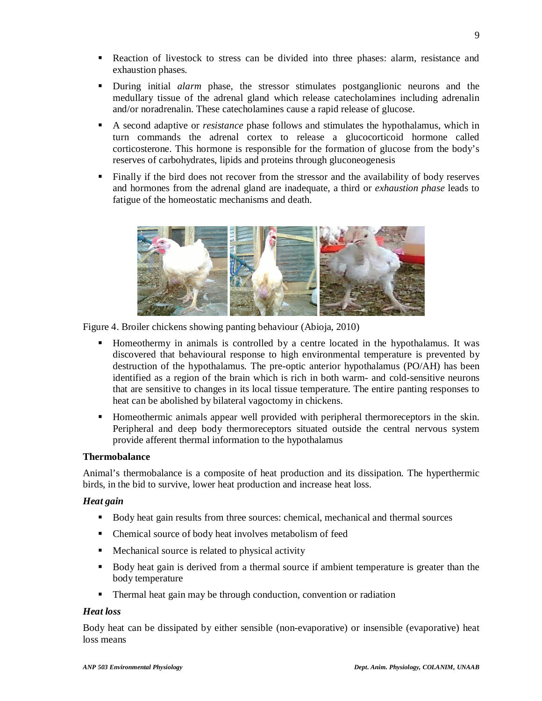- Reaction of livestock to stress can be divided into three phases: alarm, resistance and exhaustion phases.
- During initial *alarm* phase, the stressor stimulates postganglionic neurons and the medullary tissue of the adrenal gland which release catecholamines including adrenalin and/or noradrenalin. These catecholamines cause a rapid release of glucose.
- A second adaptive or *resistance* phase follows and stimulates the hypothalamus, which in turn commands the adrenal cortex to release a glucocorticoid hormone called corticosterone. This hormone is responsible for the formation of glucose from the body's reserves of carbohydrates, lipids and proteins through gluconeogenesis
- Finally if the bird does not recover from the stressor and the availability of body reserves and hormones from the adrenal gland are inadequate, a third or *exhaustion phase* leads to fatigue of the homeostatic mechanisms and death.



Figure 4. Broiler chickens showing panting behaviour (Abioja, 2010)

- Homeothermy in animals is controlled by a centre located in the hypothalamus. It was discovered that behavioural response to high environmental temperature is prevented by destruction of the hypothalamus. The pre-optic anterior hypothalamus (PO/AH) has been identified as a region of the brain which is rich in both warm- and cold-sensitive neurons that are sensitive to changes in its local tissue temperature. The entire panting responses to heat can be abolished by bilateral vagoctomy in chickens.
- Homeothermic animals appear well provided with peripheral thermoreceptors in the skin. Peripheral and deep body thermoreceptors situated outside the central nervous system provide afferent thermal information to the hypothalamus

### **Thermobalance**

Animal's thermobalance is a composite of heat production and its dissipation. The hyperthermic birds, in the bid to survive, lower heat production and increase heat loss.

#### *Heat gain*

- Body heat gain results from three sources: chemical, mechanical and thermal sources
- Chemical source of body heat involves metabolism of feed
- **Mechanical source is related to physical activity**
- Body heat gain is derived from a thermal source if ambient temperature is greater than the body temperature
- Thermal heat gain may be through conduction, convention or radiation

#### *Heat loss*

Body heat can be dissipated by either sensible (non-evaporative) or insensible (evaporative) heat loss means